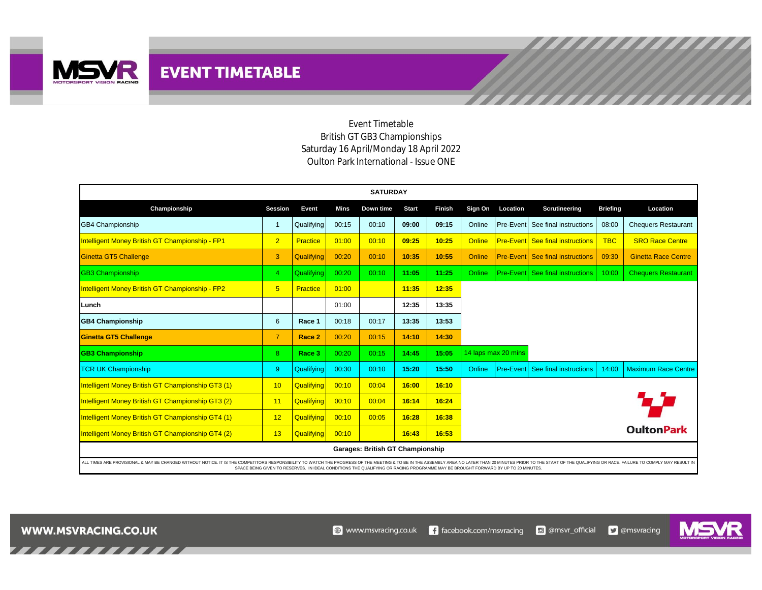

Event Timetable British GT GB3 Championships Saturday 16 April/Monday 18 April 2022 Oulton Park International - Issue ONE

| <b>SATURDAY</b>                                                                                                                                                                                                                |                |                   |       |           |              |        |               |                     |                                         |                 |                            |
|--------------------------------------------------------------------------------------------------------------------------------------------------------------------------------------------------------------------------------|----------------|-------------------|-------|-----------|--------------|--------|---------------|---------------------|-----------------------------------------|-----------------|----------------------------|
| Championship                                                                                                                                                                                                                   | <b>Session</b> | Event             | Mins  | Down time | <b>Start</b> | Finish | Sign On       | Location            | Scrutineering                           | <b>Briefing</b> | Location                   |
| <b>GB4 Championship</b>                                                                                                                                                                                                        |                | Qualifying        | 00:15 | 00:10     | 09:00        | 09:15  | Online        | Pre-Event           | See final instructions                  | 08:00           | <b>Chequers Restaurant</b> |
| <b>Intelligent Money British GT Championship - FP1</b>                                                                                                                                                                         | 2 <sup>2</sup> | Practice          | 01:00 | 00:10     | 09:25        | 10:25  | <b>Online</b> | <b>Pre-Event</b>    | See final instructions                  | <b>TBC</b>      | <b>SRO Race Centre</b>     |
| Ginetta GT5 Challenge                                                                                                                                                                                                          | 3              | Qualifying        | 00:20 | 00:10     | 10:35        | 10:55  | Online        |                     | <b>Pre-Event</b> See final instructions | 09:30           | <b>Ginetta Race Centre</b> |
| <b>GB3 Championship</b>                                                                                                                                                                                                        | $\overline{4}$ | Qualifying        | 00:20 | 00:10     | 11:05        | 11:25  | Online        |                     | <b>Pre-Event See final instructions</b> | 10:00           | <b>Chequers Restaurant</b> |
| <b>Intelligent Money British GT Championship - FP2</b>                                                                                                                                                                         | 5 <sup>5</sup> | Practice          | 01:00 |           | 11:35        | 12:35  |               |                     |                                         |                 |                            |
| Lunch                                                                                                                                                                                                                          |                |                   | 01:00 |           | 12:35        | 13:35  |               |                     |                                         |                 |                            |
| <b>GB4 Championship</b>                                                                                                                                                                                                        | 6              | Race 1            | 00:18 | 00:17     | 13:35        | 13:53  |               |                     |                                         |                 |                            |
| <b>Ginetta GT5 Challenge</b>                                                                                                                                                                                                   | $\overline{7}$ | Race 2            | 00:20 | 00:15     | 14:10        | 14:30  |               |                     |                                         |                 |                            |
| <b>GB3 Championship</b>                                                                                                                                                                                                        | 8              | Race 3            | 00:20 | 00:15     | 14:45        | 15:05  |               | 14 laps max 20 mins |                                         |                 |                            |
| <b>TCR UK Championship</b>                                                                                                                                                                                                     | 9              | Qualifying        | 00:30 | 00:10     | 15:20        | 15:50  | Online        | <b>Pre-Event</b>    | See final instructions                  | 14:00           | <b>Maximum Race Centre</b> |
| Intelligent Money British GT Championship GT3 (1)                                                                                                                                                                              | 10             | Qualifying        | 00:10 | 00:04     | 16:00        | 16:10  |               |                     |                                         |                 |                            |
| Intelligent Money British GT Championship GT3 (2)                                                                                                                                                                              | 11             | Qualifying        | 00:10 | 00:04     | 16:14        | 16:24  |               |                     |                                         |                 | 77                         |
| Intelligent Money British GT Championship GT4 (1)                                                                                                                                                                              | 12             | Qualifying        | 00:10 | 00:05     | 16:28        | 16:38  |               |                     |                                         |                 |                            |
| Intelligent Money British GT Championship GT4 (2)                                                                                                                                                                              | 13             | <b>Qualifying</b> | 00:10 |           | 16:43        | 16:53  |               |                     |                                         |                 | <b>OultonPark</b>          |
| <b>Garages: British GT Championship</b>                                                                                                                                                                                        |                |                   |       |           |              |        |               |                     |                                         |                 |                            |
| ALL TIMES ARE PROVISIONAL & MAY BE CHANGED WITHOUT NOTICE. IT IS THE COMPETITORS RESPONSIBILITY TO WATCH THE PROGRESS OF THE MEETING & TO BE IN THE ASSEMBLY AREA NO LATER THAN 20 MINUTES PRIOR TO THE START OF THE OUALIEYIN |                |                   |       |           |              |        |               |                     |                                         |                 |                            |

ALL TIMES ARE PROVISIONAL & MAY BE CHANGED WITHOUT NOTICE. IT IS THE COMPETITORS RESPONSIBILITY TO WATCH THE ON THE ASSEMELTING AT ON DEAL CONDITIONS THE QUALLY NICEAL CONDITIONS THE QUALLY NICEAL CONDITIONS THE QUALLY NIC

**WWW.MSVRACING.CO.UK** 

,,,,,,,,,,

MS